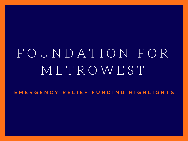# F O U N D A T I O N F O R M E T R O W E S T

EMERGENCY RELIEF FUNDING HIGHLIGHTS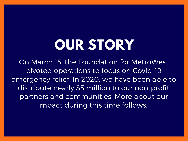# **OUR STORY**

On March 15, the Foundation for MetroWest pivoted operations to focus on Covid-19 emergency relief. In 2020, we have been able to distribute nearly \$5 million to our non-profit partners and communities. More about our impact during this time follows.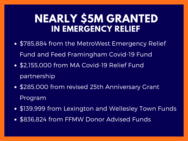### **NEARLY \$5M GRANTED IN EMERGENCY RELIEF**

- \$785,884 from the MetroWest Emergency Relief Fund and Feed Framingham Covid-19 Fund
- \$2,155,000 from MA Covid-19 Relief Fund partnership
- \$285,000 from revised 25th Anniversary Grant Program
- \$139,999 from Lexington and Wellesley Town Funds
- \$836,824 from FFMW Donor Advised Funds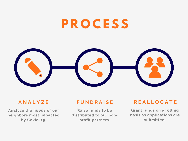## **P R O C E S S**

#### **A N A L Y Z E**

**Analyze the needs of our neighbors most impacted by Covid-19.**

#### **F U N D R A I S E**

**Raise funds to be distributed to our nonprofit partners.**

#### **R E A L L O C A T E**

**Grant funds on a rolling basis as applications are submitted.**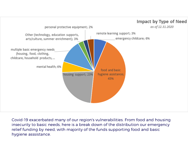

Covid-19 exacerbated many of our region's vulnerabilities. From food and housing insecurity to basic needs, here is a break down of the distribution our emergency relief funding by need, with majority of the funds supporting food and basic hygiene asssistance.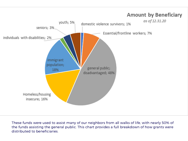

These funds were used to assist many of our neighbors from all walks of life, with nearly 50% of the funds assisting the general public. This chart provides a full breakdown of how grants were distributed to beneficiaries.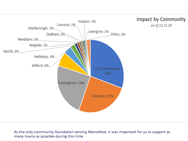

As the only community foundation serving MetroWest, it was important for us to support as many towns as possible during this time.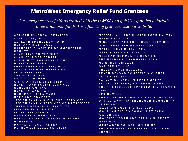#### **MetroWest Emergency Relief Fund Grantees**

*Our emergency relief efforts started with the MWERF and quickly expanded to include three additional funds. For a full list of grantees, visit our website.*

**A F R I C A N C U L T U R A L S E R V I C E S A D V O C A T E S , I N C . A S H L A N D E M E R G E N C Y F U N D B E T H A N Y H I L L P L A C E** CATHOLIC CHARITIES OF WORCESTER **C O U N T Y C H A P L A I N S O N T H E W A Y C H A R L E S R I V E R C E N T E R C O M M U N I T Y F O R P E O P L E , I N C . D I G N I T Y M A T T E R S E M P L O Y M E N T O P T I O N S , I N C . F A M I L Y P R O M I S E M E T R O W E S T F O O D L IN K , I N C . T H E F O O D P R O J E C T G A I N I N G G R O U N D G I F T S O F H O P E U N L IM I T E D H E A L T H A N D S O C I A L S E R V I C E S C O N S O R T I U M , I N C . H E A L T H Y W A L T H A M H O C O M O C K A R E A Y M C A H O P E A N D C O M F O R T** JEWISH FAMILY & CHILDREN SERVICES JEWISH FAMILY SERVICES OF METROWEST **J U S T I C E R E S O U R C E I N S T I T U T E L IN C O L N F O O D P A N T R Y L O V I N ' S P O O N F U L S M A S S B A Y F O U N D A T IO N** MASSACHUSETTS COALITION OF THE **H O M E L E S S M A Y N A R D F O O D P A N T R Y M E T R O W ES T L E G A L S E R V I C E S**

MEDWAY VILLAGE CHURCH FOOD PANTRY **M E T R O W E S T Y M C A** MINUTEMAN ARC FOR HUMAN SERVICES **M I N U T E M A N S E N I O R S E R V I C E S N A T IC K C O M M U N I T Y F A R M N A T IC K S E R V I C E C O U N C I L N E E D H A M C O M M U N I T Y C O U N C I L T H E N E E D H A M C O M M U N I T Y F A R M N E IG H B O R B R I G A D E O N E F A M I L Y , I N C . P R O J E C T J U S T B E C A U S E** REACH BEYOND DOMESTIC VIOLENCE **R I A H O U S E , I N C .** SALVATION ARMY, MILFORD CORPS SALVATION ARMY, WALTHAM CORPS SOUTH MIDDLESEX OPPORTUNITY COUNCIL **( S M O C ) S P R I N G W EL L** THE SUDBURY COMMUNITY FOOD PANTRY UNITED WAY- MARLBOROUGH COMMUNITY **C U P B O A R D W A L T H A M B O Y S & G I R L S C L U B** WALTHAM FIELDS COMMUNITY FARM **W A T C H C D C** WAYSIDE YOUTH AND FAMILY SUPPORT **N E T W O R K W ES T W O O D C O U N C I L O N A G I N G** YMCA OF GREATER BOSTON/ WALTHAM **B R A N C H**